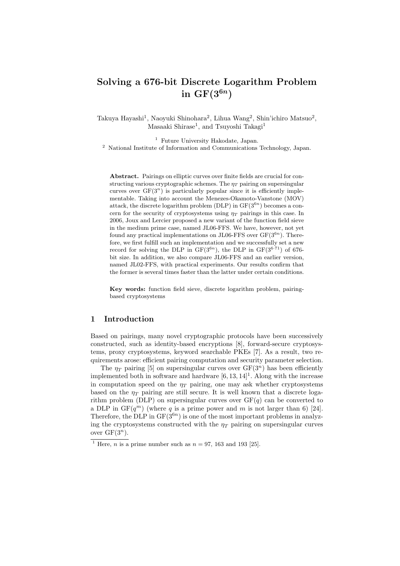# **Solving a 676-bit Discrete Logarithm Problem** in  $GF(3^{6n})$

Takuya Hayashi<sup>1</sup>, Naoyuki Shinohara<sup>2</sup>, Lihua Wang<sup>2</sup>, Shin'ichiro Matsuo<sup>2</sup>, Masaaki Shirase<sup>1</sup>, and Tsuyoshi Takagi<sup>1</sup>

 $^{\rm 1}$  Future University Hakodate, Japan.

<sup>2</sup> National Institute of Information and Communications Technology, Japan.

**Abstract.** Pairings on elliptic curves over finite fields are crucial for constructing various cryptographic schemes. The  $\eta_T$  pairing on supersingular curves over  $GF(3^n)$  is particularly popular since it is efficiently implementable. Taking into account the Menezes-Okamoto-Vanstone (MOV) attack, the discrete logarithm problem  $(DLP)$  in  $GF(3^{6n})$  becomes a concern for the security of cryptosystems using  $\eta_T$  pairings in this case. In 2006, Joux and Lercier proposed a new variant of the function field sieve in the medium prime case, named JL06-FFS. We have, however, not yet found any practical implementations on JL06-FFS over  $GF(3^{6n})$ . Therefore, we first fulfill such an implementation and we successfully set a new record for solving the DLP in  $GF(3^{6n})$ , the DLP in  $GF(3^{6\cdot 71})$  of 676bit size. In addition, we also compare JL06-FFS and an earlier version, named JL02-FFS, with practical experiments. Our results confirm that the former is several times faster than the latter under certain conditions.

**Key words:** function field sieve, discrete logarithm problem, pairingbased cryptosystems

## **1 Introduction**

Based on pairings, many novel cryptographic protocols have been successively constructed, such as identity-based encryptions [8], forward-secure cryptosystems, proxy cryptosystems, keyword searchable PKEs [7]. As a result, two requirements arose: efficient pairing computation and security parameter selection.

The  $\eta_T$  pairing [5] on supersingular curves over  $GF(3^n)$  has been efficiently implemented both in software and hardware  $[6, 13, 14]$ <sup>1</sup>. Along with the increase in computation speed on the  $\eta$ <sup>*T*</sup> pairing, one may ask whether cryptosystems based on the  $\eta_T$  pairing are still secure. It is well known that a discrete logarithm problem (DLP) on supersingular curves over  $GF(q)$  can be converted to a DLP in  $GF(q^m)$  (where q is a prime power and m is not larger than 6) [24]. Therefore, the DLP in  $GF(3^{6n})$  is one of the most important problems in analyzing the cryptosystems constructed with the  $\eta_T$  pairing on supersingular curves over  $GF(3^n)$ .

<sup>&</sup>lt;sup>1</sup> Here, *n* is a prime number such as  $n = 97$ , 163 and 193 [25].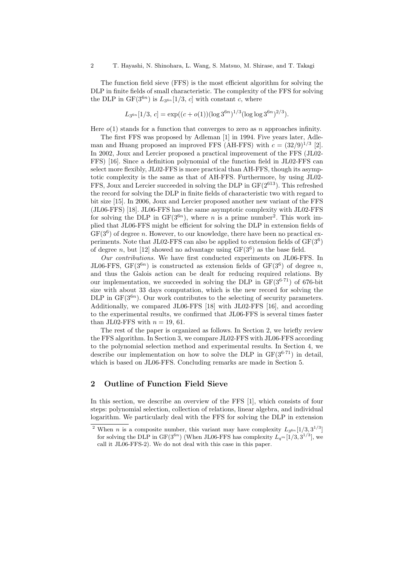The function field sieve (FFS) is the most efficient algorithm for solving the DLP in finite fields of small characteristic. The complexity of the FFS for solving the DLP in  $GF(3^{6n})$  is  $L_{3^{6n}}[1/3, c]$  with constant *c*, where

$$
L_{3^{6n}}[1/3, c] = \exp((c + o(1))(\log 3^{6n})^{1/3}(\log \log 3^{6n})^{2/3}).
$$

Here  $o(1)$  stands for a function that converges to zero as *n* approaches infinity.

The first FFS was proposed by Adleman [1] in 1994. Five years later, Adleman and Huang proposed an improved FFS (AH-FFS) with  $c = (32/9)^{1/3}$  [2]. In 2002, Joux and Lercier proposed a practical improvement of the FFS (JL02- FFS) [16]. Since a definition polynomial of the function field in JL02-FFS can select more flexibly, JL02-FFS is more practical than AH-FFS, though its asymptotic complexity is the same as that of AH-FFS. Furthermore, by using JL02- FFS, Joux and Lercier succeeded in solving the DLP in  $GF(2^{613})$ . This refreshed the record for solving the DLP in finite fields of characteristic two with regard to bit size [15]. In 2006, Joux and Lercier proposed another new variant of the FFS (JL06-FFS) [18]. JL06-FFS has the same asymptotic complexity with JL02-FFS for solving the DLP in  $GF(3^{6n})$ , where *n* is a prime number<sup>2</sup>. This work implied that JL06-FFS might be efficient for solving the DLP in extension fields of  $GF(3<sup>6</sup>)$  of degree *n*. However, to our knowledge, there have been no practical experiments. Note that JL02-FFS can also be applied to extension fields of  $GF(3^6)$ of degree *n*, but [12] showed no advantage using  $GF(3^6)$  as the base field.

*Our contributions.* We have first conducted experiments on JL06-FFS. In JL06-FFS,  $GF(3^{6n})$  is constructed as extension fields of  $GF(3^6)$  of degree *n*, and thus the Galois action can be dealt for reducing required relations. By our implementation, we succeeded in solving the DLP in  $GF(3^{6.71})$  of 676-bit size with about 33 days computation, which is the new record for solving the DLP in  $GF(3^{6n})$ . Our work contributes to the selecting of security parameters. Additionally, we compared JL06-FFS [18] with JL02-FFS [16], and according to the experimental results, we confirmed that JL06-FFS is several times faster than JL02-FFS with  $n = 19, 61$ .

The rest of the paper is organized as follows. In Section 2, we briefly review the FFS algorithm. In Section 3, we compare JL02-FFS with JL06-FFS according to the polynomial selection method and experimental results. In Section 4, we describe our implementation on how to solve the DLP in GF(3<sup>6</sup>*·*<sup>71</sup>) in detail, which is based on JL06-FFS. Concluding remarks are made in Section 5.

# **2 Outline of Function Field Sieve**

In this section, we describe an overview of the FFS [1], which consists of four steps: polynomial selection, collection of relations, linear algebra, and individual logarithm. We particularly deal with the FFS for solving the DLP in extension

<sup>&</sup>lt;sup>2</sup> When *n* is a composite number, this variant may have complexity  $L_{3^{6n}}[1/3,3^{1/3}]$ for solving the DLP in  $GF(3^{6n})$  (When JL06-FFS has complexity  $L_{q^m}[1/3, 3^{1/3}]$ , we call it JL06-FFS-2). We do not deal with this case in this paper.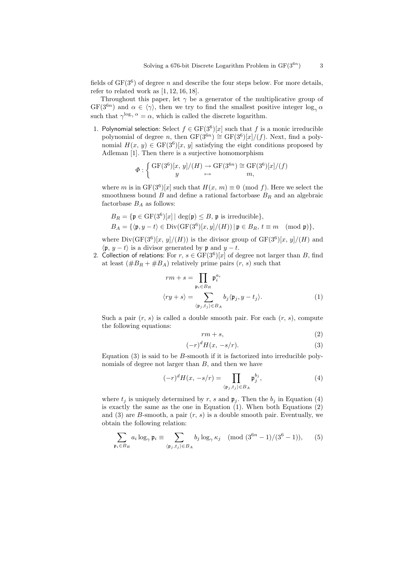fields of  $GF(3^6)$  of degree *n* and describe the four steps below. For more details, refer to related work as  $[1, 12, 16, 18]$ .

Throughout this paper, let  $\gamma$  be a generator of the multiplicative group of  $GF(3^{6n})$  and  $\alpha \in \langle \gamma \rangle$ , then we try to find the smallest positive integer  $\log_{\gamma} \alpha$ such that  $\gamma^{\log_{\gamma} \alpha} = \alpha$ , which is called the discrete logarithm.

1. Polynomial selection: Select  $f \in GF(3^6)[x]$  such that *f* is a monic irreducible polynomial of degree *n*, then  $GF(3^{6n}) \cong GF(3^6)[x]/(f)$ . Next, find a polynomial  $H(x, y) \in \mathrm{GF}(3^6)[x, y]$  satisfying the eight conditions proposed by Adleman [1]. Then there is a surjective homomorphism

$$
\Phi : \left\{ \begin{array}{c} \mathrm{GF}(3^6)[x,\,y]/(H) \to \mathrm{GF}(3^{6n}) \cong \mathrm{GF}(3^6)[x]/(f) \\ y \quad \mapsto \quad m, \end{array} \right.
$$

where *m* is in  $GF(3^6)[x]$  such that  $H(x, m) \equiv 0 \pmod{f}$ . Here we select the smoothness bound *B* and define a rational factorbase  $B_R$  and an algebraic factorbase  $\mathcal{B}_A$  as follows:

$$
B_R = \{ \mathfrak{p} \in \mathrm{GF}(3^6)[x] \mid \deg(\mathfrak{p}) \leq B, \, \mathfrak{p} \text{ is irreducible} \},
$$
  

$$
B_A = \{ \langle \mathfrak{p}, y - t \rangle \in \mathrm{Div}(\mathrm{GF}(3^6)[x, y]/(H)) \mid \mathfrak{p} \in B_R, \, t \equiv m \pmod{\mathfrak{p}} \},
$$

where  $Div(GF(3^6)[x, y]/(H))$  is the divisor group of  $GF(3^6)[x, y]/(H)$  and  $\langle \mathfrak{p}, y - t \rangle$  is a divisor generated by  $\mathfrak{p}$  and  $y - t$ .

2. Collection of relations: For  $r, s \in \text{GF}(3^6)[x]$  of degree not larger than *B*, find at least  $(\#B_R + \#B_A)$  relatively prime pairs  $(r, s)$  such that

$$
rm + s = \prod_{\mathfrak{p}_i \in B_R} \mathfrak{p}_i^{a_i}
$$

$$
\langle ry + s \rangle = \sum_{\langle \mathfrak{p}_j, t_j \rangle \in B_A} b_j \langle \mathfrak{p}_j, y - t_j \rangle.
$$
(1)

Such a pair  $(r, s)$  is called a double smooth pair. For each  $(r, s)$ , compute the following equations:

$$
rm + s,\t\t(2)
$$

$$
(-r)^d H(x, -s/r). \tag{3}
$$

Equation (3) is said to be *B*-smooth if it is factorized into irreducible polynomials of degree not larger than *B*, and then we have

$$
(-r)^{d}H(x, -s/r) = \prod_{\langle \mathfrak{p}_j, t_j \rangle \in B_A} \mathfrak{p}_j^{b_j},\tag{4}
$$

where  $t_j$  is uniquely determined by  $r$ ,  $s$  and  $\mathfrak{p}_j$ . Then the  $b_j$  in Equation (4) is exactly the same as the one in Equation (1). When both Equations (2) and (3) are *B*-smooth, a pair (*r, s*) is a double smooth pair. Eventually, we obtain the following relation:

$$
\sum_{\mathfrak{p}_i \in B_R} a_i \log_{\gamma} \mathfrak{p}_i \equiv \sum_{\langle \mathfrak{p}_j, t_j \rangle \in B_A} b_j \log_{\gamma} \kappa_j \pmod{(3^{6n}-1)/(3^6-1)},\qquad(5)
$$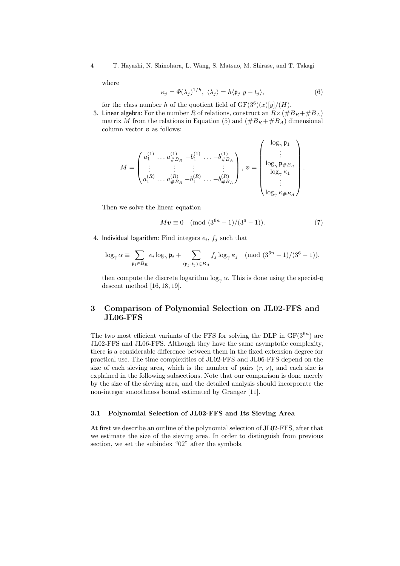4 T. Hayashi, N. Shinohara, L. Wang, S. Matsuo, M. Shirase, and T. Takagi

where

$$
\kappa_j = \Phi(\lambda_j)^{1/h}, \ \langle \lambda_j \rangle = h \langle \mathfrak{p}_j \ y - t_j \rangle, \tag{6}
$$

for the class number *h* of the quotient field of  $GF(3^6)(x)[y]/(H)$ .

3. Linear algebra: For the number *R* of relations, construct an  $R \times (\#B_R + \#B_A)$ matrix *M* from the relations in Equation (5) and  $(\#B_R + \#B_A)$  dimensional column vector *v* as follows:

$$
M = \begin{pmatrix} a_1^{(1)} & \dots & a_{\#B_R}^{(1)} & -b_1^{(1)} & \dots & -b_{\#B_A}^{(1)} \\ \vdots & \vdots & \vdots & \vdots & \vdots \\ a_1^{(R)} & \dots & a_{\#B_R}^{(R)} & -b_1^{(R)} & \dots & -b_{\#B_A}^{(R)} \end{pmatrix}, \mathbf{v} = \begin{pmatrix} \log_{\gamma} \mathfrak{p}_1 \\ \vdots \\ \log_{\gamma} \mathfrak{p}_{\#B_R} \\ \log_{\gamma} \kappa_1 \\ \vdots \\ \log_{\gamma} \kappa_{\#B_A} \end{pmatrix}.
$$

Then we solve the linear equation

$$
Mv \equiv 0 \pmod{(3^{6n}-1)/(3^6-1)}.
$$
 (7)

4. Individual logarithm: Find integers  $e_i$ ,  $f_j$  such that

$$
\log_{\gamma} \alpha \equiv \sum_{\mathfrak{p}_i \in B_R} e_i \log_{\gamma} \mathfrak{p}_i + \sum_{\langle \mathfrak{p}_j, t_j \rangle \in B_A} f_j \log_{\gamma} \kappa_j \pmod{(3^{6n}-1)/(3^6-1)},
$$

then compute the discrete logarithm  $\log_{\gamma} \alpha$ . This is done using the special-q descent method [16, 18, 19].

# **3 Comparison of Polynomial Selection on JL02-FFS and JL06-FFS**

The two most efficient variants of the FFS for solving the DLP in  $GF(3^{6n})$  are JL02-FFS and JL06-FFS. Although they have the same asymptotic complexity, there is a considerable difference between them in the fixed extension degree for practical use. The time complexities of JL02-FFS and JL06-FFS depend on the size of each sieving area, which is the number of pairs (*r, s*), and each size is explained in the following subsections. Note that our comparison is done merely by the size of the sieving area, and the detailed analysis should incorporate the non-integer smoothness bound estimated by Granger [11].

#### **3.1 Polynomial Selection of JL02-FFS and Its Sieving Area**

At first we describe an outline of the polynomial selection of JL02-FFS, after that we estimate the size of the sieving area. In order to distinguish from previous section, we set the subindex "02" after the symbols.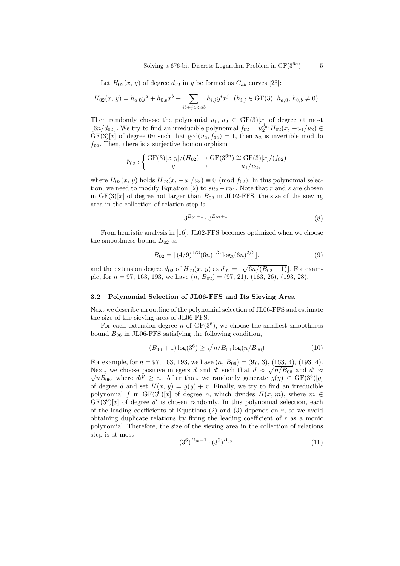Let  $H_{02}(x, y)$  of degree  $d_{02}$  in *y* be formed as  $C_{ab}$  curves [23]:

$$
H_{02}(x, y) = h_{a,0}y^{a} + h_{0,b}x^{b} + \sum_{ib+ja
$$

Then randomly choose the polynomial  $u_1, u_2 \in GF(3)[x]$  of degree at most *<u>l</u>*<sup>6*n*</sup>/*d*<sub>02</sub>. We try to find an irreducible polynomial  $f_{02} = u_2^{d_{02}} H_{02}(x, -u_1/u_2)$  ∈  $GF(3)[x]$  of degree 6*n* such that  $gcd(u_2, f_{02}) = 1$ , then  $u_2$  is invertible modulo  $f_{02}$ . Then, there is a surjective homomorphism

$$
\Phi_{02}: \left\{ \begin{array}{c} \mathrm{GF}(3)[x,y]/(H_{02}) \to \mathrm{GF}(3^{6n}) \cong \mathrm{GF}(3)[x]/(f_{02})\\ y \mapsto -u_1/u_2, \end{array} \right.
$$

where  $H_{02}(x, y)$  holds  $H_{02}(x, -u_1/u_2) \equiv 0 \pmod{f_{02}}$ . In this polynomial selection, we need to modify Equation (2) to  $su_2 - ru_1$ . Note that *r* and *s* are chosen in  $GF(3)[x]$  of degree not larger than  $B_{02}$  in JL02-FFS, the size of the sieving area in the collection of relation step is

$$
3^{B_{02}+1} \cdot 3^{B_{02}+1}.\tag{8}
$$

From heuristic analysis in [16], JL02-FFS becomes optimized when we choose the smoothness bound  $B_{02}$  as

$$
B_{02} = \left[ (4/9)^{1/3} (6n)^{1/3} \log_3(6n)^{2/3} \right]. \tag{9}
$$

and the extension degree  $d_{02}$  of  $H_{02}(x, y)$  as  $d_{02} = \lceil \sqrt{6n/(B_{02}+1)} \rceil$ . For example, for *n* = 97*,* 163*,* 193, we have (*n, B*02) = (97*,* 21)*,* (163*,* 26)*,* (193*,* 28).

#### **3.2 Polynomial Selection of JL06-FFS and Its Sieving Area**

Next we describe an outline of the polynomial selection of JL06-FFS and estimate the size of the sieving area of JL06-FFS.

For each extension degree *n* of  $GF(3^6)$ , we choose the smallest smoothness bound  $B_{06}$  in JL06-FFS satisfying the following condition,

$$
(B_{06} + 1)\log(3^6) \ge \sqrt{n/B_{06}}\log(n/B_{06})
$$
 (10)

For example, for  $n = 97, 163, 193$ , we have  $(n, B_{06}) = (97, 3), (163, 4), (193, 4)$ . Next, we choose positive integers *d* and *d'* such that  $d \approx \sqrt{n/B_{06}}$  and  $d' \approx \sqrt{n/B_{06}}$  $\overline{nB_{06}}$ , where  $dd' \geq n$ . After that, we randomly generate  $g(y) \in \mathrm{GF}(3^6)[y]$ of degree *d* and set  $H(x, y) = g(y) + x$ . Finally, we try to find an irreducible polynomial *f* in  $GF(3^6)[x]$  of degree *n*, which divides  $H(x, m)$ , where  $m \in$  $GF(3^6)[x]$  of degree d' is chosen randomly. In this polynomial selection, each of the leading coefficients of Equations  $(2)$  and  $(3)$  depends on  $r$ , so we avoid obtaining duplicate relations by fixing the leading coefficient of *r* as a monic polynomial. Therefore, the size of the sieving area in the collection of relations step is at most

$$
(3^6)^{B_{06}+1} \cdot (3^6)^{B_{06}}.\t(11)
$$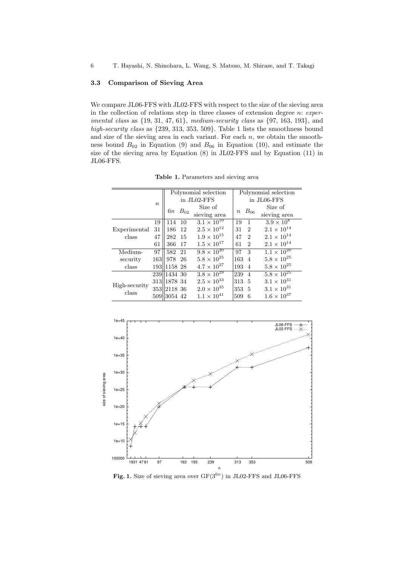### **3.3 Comparison of Sieving Area**

We compare JL06-FFS with JL02-FFS with respect to the size of the sieving area in the collection of relations step in three classes of extension degree *n*: *experimental class* as *{*19*,* 31*,* 47*,* 61*}*, *medium-security class* as *{*97*,* 163*,* 193*}*, and *high-security class* as *{*239*,* 313*,* 353*,* 509*}*. Table 1 lists the smoothness bound and size of the sieving area in each variant. For each  $n$ , we obtain the smoothness bound  $B_{02}$  in Equation (9) and  $B_{06}$  in Equation (10), and estimate the size of the sieving area by Equation (8) in JL02-FFS and by Equation (11) in JL06-FFS.

**Table 1.** Parameters and sieving area

|                        |                  | Polynomial selection |          |                      | Polynomial selection |                  |                |                      |
|------------------------|------------------|----------------------|----------|----------------------|----------------------|------------------|----------------|----------------------|
|                        | $\boldsymbol{n}$ | in JL02-FFS          |          |                      | in JL06-FFS          |                  |                |                      |
|                        |                  | 6п                   | $B_{02}$ | Size of              |                      |                  |                | Size of              |
|                        |                  |                      |          | sieving area         |                      | $\boldsymbol{n}$ | $B_{06}$       | sieving area         |
|                        | 19               | 114<br><b>10</b>     |          | $3.1 \times 10^{10}$ |                      | 19               | $\mathbf{1}$   | $3.9 \times 10^8$    |
| Experimental<br>class  | 31               | 186<br>-12           |          | $2.5 \times 10^{12}$ |                      | 31               | $\overline{2}$ | $2.1 \times 10^{14}$ |
|                        | 47               | 282<br>-15           |          | $1.9\times10^{15}$   |                      | 47               | $\overline{2}$ | $2.1\times10^{14}$   |
|                        | 61               | 366<br>17            |          | $1.5 \times 10^{17}$ |                      | 61               | $\overline{2}$ | $2.1 \times 10^{14}$ |
| Medium-                | 97               | 582 21               |          | $9.8 \times 10^{20}$ |                      | 97               | 3              | $1.1 \times 10^{20}$ |
| security               | 163              | 978 26               |          | $5.8\times10^{25}$   |                      | 163              | $\overline{4}$ | $5.8 \times 10^{25}$ |
| class                  |                  | 193 1158 28          |          | $4.7 \times 10^{27}$ |                      | 193              | $\overline{4}$ | $5.8\times10^{25}$   |
| High-security<br>class |                  | 239 1434 30          |          | $3.8 \times 10^{29}$ |                      | 239              | $\overline{4}$ | $5.8 \times 10^{25}$ |
|                        |                  | 313 1878 34          |          | $2.5 \times 10^{33}$ |                      | 313              | -5             | $3.1 \times 10^{31}$ |
|                        |                  | 353 2118 36          |          | $2.0\times10^{35}$   |                      | 353 5            |                | $3.1 \times 10^{31}$ |
|                        |                  | 509 3054 42          |          | $1.1 \times 10^{41}$ |                      | 509              | 6              | $1.6\times10^{37}$   |



Fig. 1. Size of sieving area over  $GF(3^{6n})$  in JL02-FFS and JL06-FFS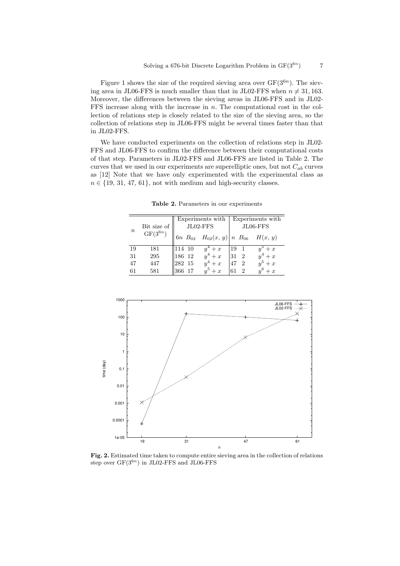Figure 1 shows the size of the required sieving area over GF(3<sup>6</sup>*<sup>n</sup>*). The sieving area in JL06-FFS is much smaller than that in JL02-FFS when  $n \neq 31, 163$ . Moreover, the differences between the sieving areas in JL06-FFS and in JL02- FFS increase along with the increase in *n*. The computational cost in the collection of relations step is closely related to the size of the sieving area, so the collection of relations step in JL06-FFS might be several times faster than that in JL02-FFS.

We have conducted experiments on the collection of relations step in JL02- FFS and JL06-FFS to confirm the difference between their computational costs of that step. Parameters in JL02-FFS and JL06-FFS are listed in Table 2. The curves that we used in our experiments are superelliptic ones, but not  $C_{ab}$  curves as [12] Note that we have only experimented with the experimental class as  $n \in \{19, 31, 47, 61\}$ , not with medium and high-security classes.

| $\it n$ |              |           | Experiments with                                | Experiments with                  |         |  |
|---------|--------------|-----------|-------------------------------------------------|-----------------------------------|---------|--|
|         | Bit size of  |           | JL02-FFS                                        | $JL06$ - $FFS$                    |         |  |
|         | $GF(3^{6n})$ |           | 6n $B_{02}$ $H_{02}(x, y)$ n $B_{06}$ $H(x, y)$ |                                   |         |  |
| 19      | 181          | 114 10    | $y^4+x$                                         | 19<br>$\overline{1}$              | $+x$    |  |
| 31      | 295          | 186 12    | $y^4+x$                                         | 31<br>$\overline{2}$              | $y^4+x$ |  |
| 47      | 447          | 282 15    | $y^4+x$                                         | 47<br>$\mathcal{D}_{\mathcal{L}}$ | $y^5+x$ |  |
| 61      | 581          | 17<br>366 | $u^5+x$                                         | 61<br>$\overline{2}$              | $y^6+x$ |  |

**Table 2.** Parameters in our experiments



**Fig. 2.** Estimated time taken to compute entire sieving area in the collection of relations step over GF(3<sup>6</sup>*<sup>n</sup>* ) in JL02-FFS and JL06-FFS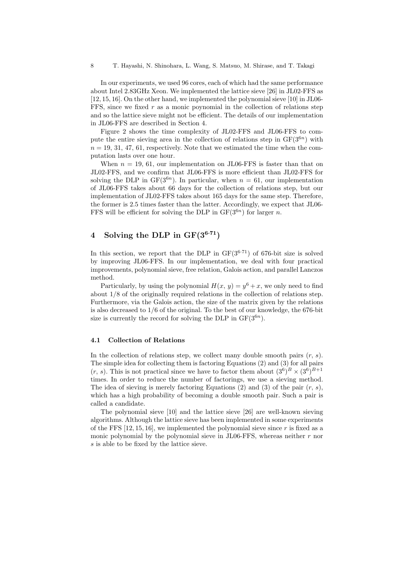In our experiments, we used 96 cores, each of which had the same performance about Intel 2.83GHz Xeon. We implemented the lattice sieve [26] in JL02-FFS as [12, 15, 16]. On the other hand, we implemented the polynomial sieve [10] in JL06- FFS, since we fixed *r* as a monic poynomial in the collection of relations step and so the lattice sieve might not be efficient. The details of our implementation in JL06-FFS are described in Section 4.

Figure 2 shows the time complexity of JL02-FFS and JL06-FFS to compute the entire sieving area in the collection of relations step in  $GF(3^{6n})$  with  $n = 19, 31, 47, 61$ , respectively. Note that we estimated the time when the computation lasts over one hour.

When  $n = 19, 61$ , our implementation on JL06-FFS is faster than that on JL02-FFS, and we confirm that JL06-FFS is more efficient than JL02-FFS for solving the DLP in  $GF(3^{6n})$ . In particular, when  $n = 61$ , our implementation of JL06-FFS takes about 66 days for the collection of relations step, but our implementation of JL02-FFS takes about 165 days for the same step. Therefore, the former is 2.5 times faster than the latter. Accordingly, we expect that JL06- FFS will be efficient for solving the DLP in  $GF(3^{6n})$  for larger *n*.

# **4** Solving the DLP in  $GF(3^{6.71})$

In this section, we report that the DLP in  $GF(3^{6.71})$  of 676-bit size is solved by improving JL06-FFS. In our implementation, we deal with four practical improvements, polynomial sieve, free relation, Galois action, and parallel Lanczos method.

Particularly, by using the polynomial  $H(x, y) = y^6 + x$ , we only need to find about 1/8 of the originally required relations in the collection of relations step. Furthermore, via the Galois action, the size of the matrix given by the relations is also decreased to 1*/*6 of the original. To the best of our knowledge, the 676-bit size is currently the record for solving the DLP in  $GF(3^{6n})$ .

#### **4.1 Collection of Relations**

In the collection of relations step, we collect many double smooth pairs (*r, s*). The simple idea for collecting them is factoring Equations (2) and (3) for all pairs  $(r, s)$ . This is not practical since we have to factor them about  $(3^6)^B \times (3^6)^{B+1}$ times. In order to reduce the number of factorings, we use a sieving method. The idea of sieving is merely factoring Equations (2) and (3) of the pair (*r, s*), which has a high probability of becoming a double smooth pair. Such a pair is called a candidate.

The polynomial sieve [10] and the lattice sieve [26] are well-known sieving algorithms. Although the lattice sieve has been implemented in some experiments of the FFS [12, 15, 16], we implemented the polynomial sieve since *r* is fixed as a monic polynomial by the polynomial sieve in JL06-FFS, whereas neither *r* nor *s* is able to be fixed by the lattice sieve.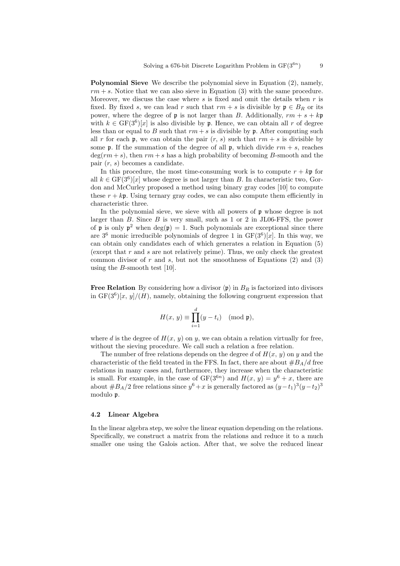**Polynomial Sieve** We describe the polynomial sieve in Equation (2), namely,  $rm + s$ . Notice that we can also sieve in Equation (3) with the same procedure. Moreover, we discuss the case where *s* is fixed and omit the details when *r* is fixed. By fixed *s*, we can lead *r* such that  $rm + s$  is divisible by  $\mathfrak{p} \in B_R$  or its power, where the degree of  $\mathfrak{p}$  is not larger than *B*. Additionally,  $rm + s + kp$ with  $k \in \text{GF}(3^6)[x]$  is also divisible by **p**. Hence, we can obtain all *r* of degree less than or equal to *B* such that  $rm + s$  is divisible by  $\mathfrak{p}$ . After computing such all *r* for each **p**, we can obtain the pair  $(r, s)$  such that  $rm + s$  is divisible by some  $\mathfrak{p}$ . If the summation of the degree of all  $\mathfrak{p}$ , which divide  $rm + s$ , reaches  $deg(rm + s)$ , then  $rm + s$  has a high probability of becoming *B*-smooth and the pair (*r, s*) becomes a candidate.

In this procedure, the most time-consuming work is to compute  $r + kp$  for all  $k \in \text{GF}(3^6)[x]$  whose degree is not larger than *B*. In characteristic two, Gordon and McCurley proposed a method using binary gray codes [10] to compute these  $r + k$ **p**. Using ternary gray codes, we can also compute them efficiently in characteristic three.

In the polynomial sieve, we sieve with all powers of p whose degree is not larger than *B*. Since *B* is very small, such as 1 or 2 in JL06-FFS, the power of  $\mathfrak p$  is only  $\mathfrak p^2$  when  $\deg(\mathfrak p) = 1$ . Such polynomials are exceptional since there are  $3^6$  monic irreducible polynomials of degree 1 in  $GF(3^6)[x]$ . In this way, we can obtain only candidates each of which generates a relation in Equation (5) (except that *r* and *s* are not relatively prime). Thus, we only check the greatest common divisor of  $r$  and  $s$ , but not the smoothness of Equations  $(2)$  and  $(3)$ using the *B*-smooth test [10].

**Free Relation** By considering how a divisor  $\langle \mathbf{p} \rangle$  in  $B_R$  is factorized into divisors in  $GF(3^6)[x, y]/(H)$ , namely, obtaining the following congruent expression that

$$
H(x, y) \equiv \prod_{i=1}^{d} (y - t_i) \pmod{\mathfrak{p}},
$$

where *d* is the degree of  $H(x, y)$  on *y*, we can obtain a relation virtually for free, without the sieving procedure. We call such a relation a free relation.

The number of free relations depends on the degree *d* of *H*(*x, y*) on *y* and the characteristic of the field treated in the FFS. In fact, there are about  $#B_A/d$  free relations in many cases and, furthermore, they increase when the characteristic is small. For example, in the case of  $GF(3^{6n})$  and  $H(x, y) = y^6 + x$ , there are about  $#B_A/2$  free relations since  $y^6 + x$  is generally factored as  $(y-t_1)^3(y-t_2)^3$ modulo p.

#### **4.2 Linear Algebra**

In the linear algebra step, we solve the linear equation depending on the relations. Specifically, we construct a matrix from the relations and reduce it to a much smaller one using the Galois action. After that, we solve the reduced linear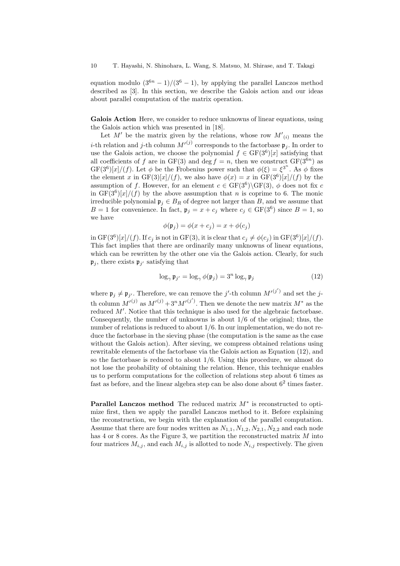equation modulo  $(3^{6n} - 1)/(3^6 - 1)$ , by applying the parallel Lanczos method described as [3]. In this section, we describe the Galois action and our ideas about parallel computation of the matrix operation.

**Galois Action** Here, we consider to reduce unknowns of linear equations, using the Galois action which was presented in [18].

Let  $M'$  be the matrix given by the relations, whose row  $M'_{(i)}$  means the *i*-th relation and *j*-th column  $M'^{(j)}$  corresponds to the factorbase  $\mathfrak{p}_j$ . In order to use the Galois action, we choose the polynomial  $f \in GF(3^6)[x]$  satisfying that all coefficients of *f* are in  $GF(3)$  and deg  $f = n$ , then we construct  $GF(3^{6n})$  as  $GF(3^6)[x]/(f)$ . Let  $\phi$  be the Frobenius power such that  $\phi(\xi) = \xi^{3^n}$ . As  $\phi$  fixes the element *x* in  $GF(3)[x]/(f)$ , we also have  $\phi(x) = x$  in  $GF(3^6)[x]/(f)$  by the assumption of *f*. However, for an element  $c \in \text{GF}(3^6) \backslash \text{GF}(3)$ ,  $\phi$  does not fix *c* in  $GF(3^6)[x]/(f)$  by the above assumption that *n* is coprime to 6. The monic irreducible polynomial  $\mathfrak{p}_i \in B_R$  of degree not larger than *B*, and we assume that *B* = 1 for convenience. In fact,  $\mathfrak{p}_j = x + c_j$  where  $c_j \in \text{GF}(3^6)$  since *B* = 1, so we have

$$
\phi(\mathfrak{p}_j) = \phi(x + c_j) = x + \phi(c_j)
$$

in  $GF(3^6)[x]/(f)$ . If  $c_j$  is not in  $GF(3)$ , it is clear that  $c_j \neq \phi(c_j)$  in  $GF(3^6)[x]/(f)$ . This fact implies that there are ordinarily many unknowns of linear equations, which can be rewritten by the other one via the Galois action. Clearly, for such  $\mathfrak{p}_j$ , there exists  $\mathfrak{p}_{j'}$  satisfying that

$$
\log_{\gamma} \mathfrak{p}_{j'} = \log_{\gamma} \phi(\mathfrak{p}_{j}) = 3^{n} \log_{\gamma} \mathfrak{p}_{j}
$$
 (12)

where  $\mathfrak{p}_j \neq \mathfrak{p}_{j'}$ . Therefore, we can remove the *j*'-th column  $M'^{(j')}$  and set the *j*th column  $M^{\prime(j)}$  as  $M^{\prime(j)} + 3^n M^{\prime(j')}$ . Then we denote the new matrix  $M^*$  as the reduced *M′* . Notice that this technique is also used for the algebraic factorbase. Consequently, the number of unknowns is about 1*/*6 of the original; thus, the number of relations is reduced to about 1*/*6. In our implementation, we do not reduce the factorbase in the sieving phase (the computation is the same as the case without the Galois action). After sieving, we compress obtained relations using rewritable elements of the factorbase via the Galois action as Equation (12), and so the factorbase is reduced to about 1*/*6. Using this procedure, we almost do not lose the probability of obtaining the relation. Hence, this technique enables us to perform computations for the collection of relations step about 6 times as fast as before, and the linear algebra step can be also done about  $6<sup>2</sup>$  times faster.

**Parallel Lanczos method** The reduced matrix *M<sup>∗</sup>* is reconstructed to optimize first, then we apply the parallel Lanczos method to it. Before explaining the reconstruction, we begin with the explanation of the parallel computation. Assume that there are four nodes written as  $N_{1,1}, N_{1,2}, N_{2,1}, N_{2,2}$  and each node has 4 or 8 cores. As the Figure 3, we partition the reconstructed matrix *M* into four matrices  $M_{i,j}$ , and each  $M_{i,j}$  is allotted to node  $N_{i,j}$  respectively. The given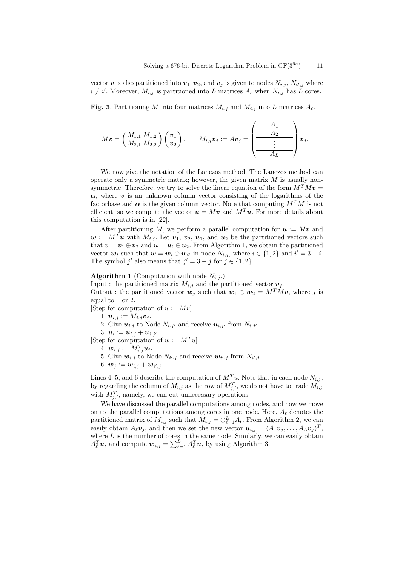) 11

vector  $\boldsymbol{v}$  is also partitioned into  $\boldsymbol{v}_1, \boldsymbol{v}_2$ , and  $\boldsymbol{v}_j$  is given to nodes  $N_{i,j}$ ,  $N_{i',j}$  where  $i \neq i'$ . Moreover,  $M_{i,j}$  is partitioned into *L* matrices  $A_{\ell}$  when  $N_{i,j}$  has *L* cores.

**Fig. 3**. Partitioning *M* into four matrices  $M_{i,j}$  and  $M_{i,j}$  into *L* matrices  $A_{\ell}$ .

$$
M\bm{v} = \left(\frac{M_{1,1}|M_{1,2}}{M_{2,1}|M_{2,2}}\right)\left(\frac{\bm{v}_1}{\bm{v}_2}\right). \qquad M_{i,j}\bm{v}_j := A\bm{v}_j = \left(\frac{A_1}{\frac{A_2}{\vdots}}\right)\bm{v}_j.
$$

We now give the notation of the Lanczos method. The Lanczos method can operate only a symmetric matrix; however, the given matrix *M* is usually nonsymmetric. Therefore, we try to solve the linear equation of the form  $M^T M v =$  $\alpha$ , where *v* is an unknown column vector consisting of the logarithms of the factorbase and  $\alpha$  is the given column vector. Note that computing  $M^T M$  is not efficient, so we compute the vector  $u = Mv$  and  $M^T u$ . For more details about this computation is in [22].

After partitioning M, we perform a parallel computation for  $u := Mv$  and  $w := M^T u$  with  $M_{i,j}$ . Let  $v_1, v_2, u_1$ , and  $u_2$  be the partitioned vectors such that  $v = v_1 \oplus v_2$  and  $u = u_1 \oplus u_2$ . From Algorithm 1, we obtain the partitioned vector  $w_i$  such that  $w = w_i \oplus w_{i'}$  in node  $N_{i,j}$ , where  $i \in \{1,2\}$  and  $i' = 3 - i$ . The symbol *j'* also means that  $j' = 3 - j$  for  $j \in \{1, 2\}$ .

### **Algorithm 1** (Computation with node  $N_{i,j}$ .)

Input : the partitioned matrix  $M_{i,j}$  and the partitioned vector  $v_j$ . Output : the partitioned vector  $w_j$  such that  $w_1 \oplus w_2 = M^T M v$ , where *j* is

equal to 1 or 2.

- [Step for computation of  $u := Mv$ ]
	- 1.  $u_{i,j} := M_{i,j}v_j$ .
	- 2. Give  $u_{i,j}$  to Node  $N_{i,j'}$  and receive  $u_{i,j'}$  from  $N_{i,j'}$ .
	- $3. \, \mathbf{u}_i := \mathbf{u}_{i,j} + \mathbf{u}_{i,j'}$ .
- [Step for computation of  $w := M^T u$ ]

 $4. \, \bm{w}_{i,j} := M_{i,j}^T \bm{u}_i.$ 

- 5. Give  $w_{i,j}$  to Node  $N_{i',j}$  and receive  $w_{i',j}$  from  $N_{i',j}$ .
- 6.  $w_j := w_{i,j} + w_{i',j}$ .

Lines 4, 5, and 6 describe the computation of  $M^T u$ . Note that in each node  $N_{i,j}$ , by regarding the column of  $M_{i,j}$  as the row of  $M_{j,i}^T$ , we do not have to trade  $M_{i,j}$ with  $M_{j,i}^T$ , namely, we can cut unnecessary operations.

We have discussed the parallel computations among nodes, and now we move on to the parallel computations among cores in one node. Here, *A<sup>ℓ</sup>* denotes the partitioned matrix of  $M_{i,j}$  such that  $M_{i,j} = \bigoplus_{\ell=1}^{L} A_{\ell}$ . From Algorithm 2, we can easily obtain  $A_{\ell}v_j$ , and then we set the new vector  $u_{i,j} = (A_1v_j, \ldots, A_Lv_j)^T$ , where  $L$  is the number of cores in the same node. Similarly, we can easily obtain  $A_{\ell}^T u_i$  and compute  $w_{i,j} = \sum_{\ell=1}^L A_{\ell}^T u_i$  by using Algorithm 3.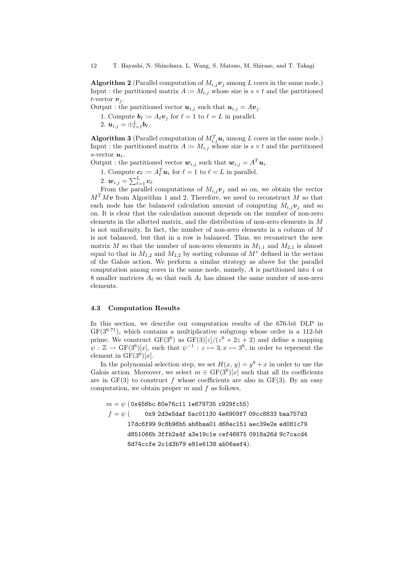**Algorithm 2** (Parallel computation of  $M_{i,j}$ *v*<sub>*j*</sub> among *L* cores in the same node.) Input : the partitioned matrix  $A := M_{i,j}$  whose size is  $s \times t$  and the partitioned *t*-vector  $v_j$ .

Output : the partitioned vector  $u_{i,j}$  such that  $u_{i,j} = Av_j$ .

1. Compute  $\mathbf{b}_{\ell} := A_{\ell} \mathbf{v}_j$  for  $\ell = 1$  to  $\ell = L$  in parallel.

 $2. \mathbf{u}_{i,j} = \oplus_{\ell=1}^L \mathbf{b}_{\ell}.$ 

**Algorithm 3** (Parallel computation of  $M_{i,j}^T u_i$  among *L* cores in the same node.) Input : the partitioned matrix  $A := M_{i,j}$  whose size is  $s \times t$  and the partitioned *s*-vector *u<sup>i</sup>* .

Output : the partitioned vector  $w_{i,j}$  such that  $w_{i,j} = A^T u_i$ .

1. Compute  $c_{\ell} := A_{\ell}^T u_i$  for  $\ell = 1$  to  $\ell = L$  in parallel.

$$
2. \, \boldsymbol{w}_{i,j} = \sum_{\ell=1}^L \boldsymbol{c}_{\ell}.
$$

From the parallel computations of  $M_i$ ,  $\boldsymbol{v}_i$  and so on, we obtain the vector  $M<sup>T</sup>Mv$  from Algorithm 1 and 2. Therefore, we need to reconstruct *M* so that each node has the balanced calculation amount of computing  $M_i$ *j* $\bf{v}_i$  and so on. It is clear that the calculation amount depends on the number of non-zero elements in the allotted matrix, and the distribution of non-zero elements in *M* is not uniformity. In fact, the number of non-zero elements in a column of *M* is not balanced, but that in a row is balanced. Thus, we reconstruct the new matrix *M* so that the number of non-zero elements in  $M_{1,1}$  and  $M_{2,1}$  is almost equal to that in  $M_{1,2}$  and  $M_{2,2}$  by sorting columns of  $M^*$  defined in the section of the Galois action. We perform a similar strategy as above for the parallel computation among cores in the same node, namely, *A* is partitioned into 4 or 8 smaller matrices  $A_\ell$  so that each  $A_\ell$  has almost the same number of non-zero elements.

#### **4.3 Computation Results**

In this section, we describe our computation results of the 676-bit DLP in  $GF(3^{6.71})$ , which contains a multiplicative subgroup whose order is a 112-bit prime. We construct  $GF(3^6)$  as  $GF(3)[z]/(z^6 + 2z + 2)$  and define a mapping  $\psi : \mathbb{Z} \to \text{GF}(3^6)[x]$ , such that  $\psi^{-1} : z \mapsto 3, x \mapsto 3^6$ , in order to represent the element in  $GF(3^6)[x]$ .

In the polynomial selection step, we set  $H(x, y) = y^6 + x$  in order to use the Galois action. Moreover, we select  $m \in \text{GF}(3^6)[x]$  such that all its coefficients are in  $GF(3)$  to construct f whose coefficients are also in  $GF(3)$ . By an easy computation, we obtain proper *m* and *f* as follows,

*m* = *ψ* (0x456bc 60e76c11 1e679735 c929fc55) *f* = *ψ* ( 0x9 2d3e5daf 5ac01130 4e6909f7 09cc8833 baa757d3 17dc6f99 9c8b98b5 ab8baa01 d68ec151 aec39e2e ed081c79 d851066b 3ffb2a4f a3e19c1e cef46675 0918a26d 9c7cacd4 8d74ccfe 2c1d3b79 e81e6138 ab06aef4)*.*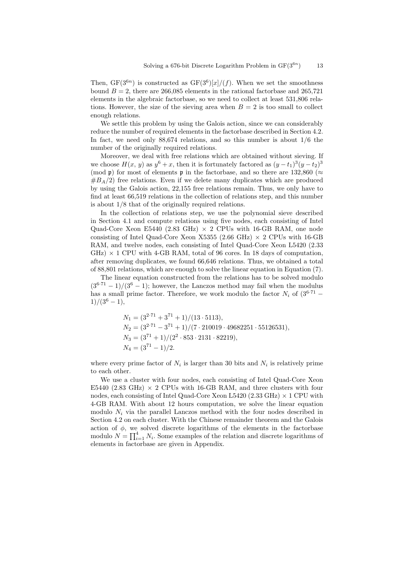Then,  $GF(3^{6n})$  is constructed as  $GF(3^6)[x]/(f)$ . When we set the smoothness bound  $B = 2$ , there are 266,085 elements in the rational factorbase and 265,721 elements in the algebraic factorbase, so we need to collect at least 531,806 relations. However, the size of the sieving area when  $B = 2$  is too small to collect enough relations.

We settle this problem by using the Galois action, since we can considerably reduce the number of required elements in the factorbase described in Section 4.2. In fact, we need only 88,674 relations, and so this number is about 1*/*6 the number of the originally required relations.

Moreover, we deal with free relations which are obtained without sieving. If we choose  $H(x, y)$  as  $y^6 + x$ , then it is fortunately factored as  $(y - t_1)^3 (y - t_2)^3$ (mod p) for most of elements p in the factorbase, and so there are 132,860 (*≈*  $#B_A/2$  free relations. Even if we delete many duplicates which are produced by using the Galois action, 22,155 free relations remain. Thus, we only have to find at least 66,519 relations in the collection of relations step, and this number is about 1/8 that of the originally required relations.

In the collection of relations step, we use the polynomial sieve described in Section 4.1 and compute relations using five nodes, each consisting of Intel Quad-Core Xeon E5440 (2.83 GHz) *×* 2 CPUs with 16-GB RAM, one node consisting of Intel Quad-Core Xeon X5355 (2.66 GHz) *×* 2 CPUs with 16-GB RAM, and twelve nodes, each consisting of Intel Quad-Core Xeon L5420 (2.33  $GHz$ )  $\times$  1 CPU with 4-GB RAM, total of 96 cores. In 18 days of computation, after removing duplicates, we found 66,646 relations. Thus, we obtained a total of 88,801 relations, which are enough to solve the linear equation in Equation (7).

The linear equation constructed from the relations has to be solved modulo  $(3^{6\cdot71} - 1)/(3^6 - 1)$ ; however, the Lanczos method may fail when the modulus has a small prime factor. Therefore, we work modulo the factor  $N_i$  of  $(3^{6.71} 1)/(3^6 - 1),$ 

$$
N_1 = (3^{2\cdot 71} + 3^{71} + 1)/(13 \cdot 5113),
$$
  
\n
$$
N_2 = (3^{2\cdot 71} - 3^{71} + 1)/(7 \cdot 210019 \cdot 49682251 \cdot 55126531),
$$
  
\n
$$
N_3 = (3^{71} + 1)/(2^2 \cdot 853 \cdot 2131 \cdot 82219),
$$
  
\n
$$
N_4 = (3^{71} - 1)/2.
$$

where every prime factor of  $N_i$  is larger than 30 bits and  $N_i$  is relatively prime to each other.

We use a cluster with four nodes, each consisting of Intel Quad-Core Xeon E5440 (2.83 GHz)  $\times$  2 CPUs with 16-GB RAM, and three clusters with four nodes, each consisting of Intel Quad-Core Xeon L5420 (2.33 GHz) *×* 1 CPU with 4-GB RAM. With about 12 hours computation, we solve the linear equation modulo  $N_i$  via the parallel Lanczos method with the four nodes described in Section 4.2 on each cluster. With the Chinese remainder theorem and the Galois action of  $\phi$ , we solved discrete logarithms of the elements in the factorbase modulo  $N = \prod_{i=1}^{4} N_i$ . Some examples of the relation and discrete logarithms of elements in factorbase are given in Appendix.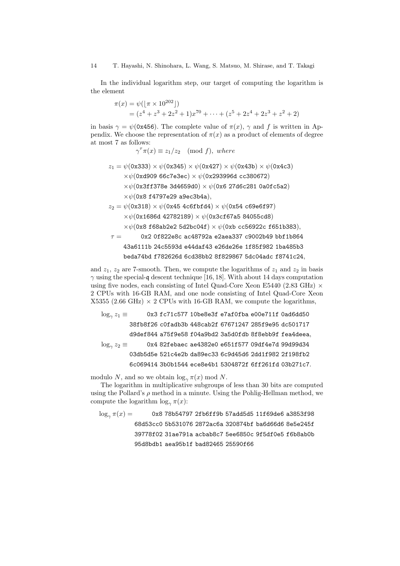14 T. Hayashi, N. Shinohara, L. Wang, S. Matsuo, M. Shirase, and T. Takagi

In the individual logarithm step, our target of computing the logarithm is the element

$$
\pi(x) = \psi(\lfloor \pi \times 10^{202} \rfloor)
$$
  
=  $(z^4 + z^3 + 2z^2 + 1)x^{70} + \dots + (z^5 + 2z^4 + 2z^3 + z^2 + 2)$ 

in basis  $\gamma = \psi(0x456)$ . The complete value of  $\pi(x)$ ,  $\gamma$  and f is written in Appendix. We choose the representation of  $\pi(x)$  as a product of elements of degree at most 7 as follows:

 $\gamma^{\tau} \pi(x) \equiv z_1/z_2 \pmod{f}$ , where

$$
z_1 = \psi(0x333) \times \psi(0x345) \times \psi(0x427) \times \psi(0x43b) \times \psi(0x4c3)
$$
  
\n
$$
\times \psi(0x4909 66c7e3ec) \times \psi(0x293996d cc380672)
$$
  
\n
$$
\times \psi(0x3f1378e 3d4659d0) \times \psi(0x6 27d6c281 0a0fc5a2)
$$
  
\n
$$
\times \psi(0x8 f4797e29 a9ec3b4a),
$$
  
\n
$$
z_2 = \psi(0x318) \times \psi(0x45 4c6fbf44) \times \psi(0x54 c69e6f97)
$$
  
\n
$$
\times \psi(0x1686d 42782189) \times \psi(0x3cf67a5 84055cd8)
$$

*×ψ*(0x8 f68ab2e2 5d2bc04f) *× ψ*(0xb cc56922c f651b383)*,*

$$
\tau = \qquad \qquad 0 \text{x2 0f822e8c ac48792a e2aea337 c9002b49 bbf1b864} \\ 43a6111b 24c5593d e44daf43 e26de26e 1f85f982 1ba485b3 \\ beda74bd f782626d 6cd38bb2 8f829867 5dc04adc f8741c24,
$$

and  $z_1$ ,  $z_2$  are 7-smooth. Then, we compute the logarithms of  $z_1$  and  $z_2$  in basis *γ* using the special-q descent technique [16, 18]. With about 14 days computation using five nodes, each consisting of Intel Quad-Core Xeon E5440 (2.83 GHz) *×* 2 CPUs with 16-GB RAM, and one node consisting of Intel Quad-Core Xeon  $X5355$  (2.66 GHz)  $\times$  2 CPUs with 16-GB RAM, we compute the logarithms,

$$
\log_{\gamma} z_1 \equiv \qquad \qquad 0x3 \text{ fc71c577 10be8e3f e7af0fba e00e711f 0ad6dd50} \\ 38fb8f26 \text{ c0fadb3b 448cab2f 67671247 285f9e95 dc501717} \\ d9def844 a75f9e58 f04a9bd2 3a5d0fdb 8f8ebb9f fea4deea, \\ \log_{\gamma} z_2 \equiv \qquad \qquad 0x4 \text{ 82febaec ae4382e0 e651f577 09df4e7d 99d99d34} \\ 03db5d5e 521c4e2b da89ec33 6c9d45d6 2dd1f982 2f198fb2 6c069414 3b0b1544 ece8e4b1 5304872f 6ff261fd 03b271c7. \qquad \qquad
$$

modulo *N*, and so we obtain  $\log_{\gamma} \pi(x)$  mod *N*.

The logarithm in multiplicative subgroups of less than 30 bits are computed using the Pollard's  $\rho$  method in a minute. Using the Pohlig-Hellman method, we compute the logarithm  $\log_{\gamma} \pi(x)$ :

log*<sup>γ</sup> π*(*x*) = 0x8 78b54797 2fb6ff9b 57add5d5 11f69de6 a3853f98 68d53cc0 5b531076 2872ac6a 320874bf ba6d66d6 8e5e245f 39778f02 31ae791a acbab8c7 5ee6850c 9f5df0e5 f6b8ab0b 95d8bdb1 aea95b1f bad82465 25590f66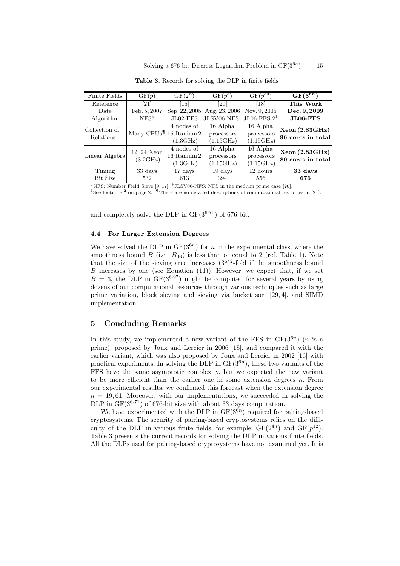| <b>Finite Fields</b>       | GF(p)                                | $GF(2^n)$         | $GF(p^3)$                                      | $GF(p^{30})$      | $\overline{\mathrm{GF}(3^{6n})}$    |  |
|----------------------------|--------------------------------------|-------------------|------------------------------------------------|-------------------|-------------------------------------|--|
| Reference                  | [21]                                 | $[15]$            | [20]                                           | $\left[18\right]$ | This Work                           |  |
| Date                       | Feb. 5, 2007                         |                   | Sep. 22, 2005 Aug. 23, 2006                    | Nov. 9, 2005      | Dec. 9, 2009                        |  |
| Algorithm                  | $NFS^{\star}$                        | $JLO2$ -FFS       | $JLSV06-NFS^{\dagger}$ JL06-FFS-2 <sup>‡</sup> |                   | $JLO6-FFS$                          |  |
| Collection of<br>Relations |                                      | 4 nodes of        | 16 Alpha                                       | 16 Alpha          | Xeon (2.83GHz)<br>96 cores in total |  |
|                            | $\text{Many CPUs}^{\P}$ 16 Itanium 2 |                   | processors                                     | processors        |                                     |  |
|                            |                                      | $(1.3\rm{GHz})$   | (1.15GHz)                                      | (1.15GHz)         |                                     |  |
|                            | $12-24$ Xeon                         | 4 nodes of        | 16 Alpha                                       | 16 Alpha          | Xeon (2.83GHz)                      |  |
| Linear Algebra             | (3.2GHz)                             | 16 Itanium 2      | processors                                     | processors        |                                     |  |
|                            |                                      | $(1.3\text{GHz})$ | (1.15GHz)                                      | (1.15GHz)         | 80 cores in total                   |  |
| Timing                     | 33 days                              | 17 days           | 19 days                                        | 12 hours          | 33 days                             |  |
| Bit Size                   | 532                                  | 613               | 394                                            | 556               | 676                                 |  |
|                            |                                      |                   |                                                |                   |                                     |  |

**Table 3.** Records for solving the DLP in finite fields

*<sup>⋆</sup>*NFS: Number Field Sieve [9, 17]. *†*JLSV06-NFS: NFS in the medium prime case [20].

<sup>‡</sup>See footnote <sup>2</sup> on page 2. <sup>¶</sup>There are no detailed descriptions of computational resources in [21].

and completely solve the DLP in  $GF(3^{6.71})$  of 676-bit.

## **4.4 For Larger Extension Degrees**

We have solved the DLP in  $GF(3^{6n})$  for *n* in the experimental class, where the smoothness bound *B* (i.e.,  $B_{06}$ ) is less than or equal to 2 (ref. Table 1). Note that the size of the sieving area increases  $(3^6)^2$ -fold if the smoothness bound *B* increases by one (see Equation (11)). However, we expect that, if we set  $B = 3$ , the DLP in GF(3<sup>6.97</sup>) might be computed for several years by using dozens of our computational resources through various techniques such as large prime variation, block sieving and sieving via bucket sort [29, 4], and SIMD implementation.

### **5 Concluding Remarks**

In this study, we implemented a new variant of the FFS in  $GF(3^{6n})$  (*n* is a prime), proposed by Joux and Lercier in 2006 [18], and compared it with the earlier variant, which was also proposed by Joux and Lercier in 2002 [16] with practical experiments. In solving the DLP in  $GF(3^{6n})$ , these two variants of the FFS have the same asymptotic complexity, but we expected the new variant to be more efficient than the earlier one in some extension degrees *n*. From our experimental results, we confirmed this forecast when the extension degree  $n = 19,61$ . Moreover, with our implementations, we succeeded in solving the DLP in  $GF(3^{6.71})$  of 676-bit size with about 33 days computation.

We have experimented with the DLP in  $GF(3^{6n})$  required for pairing-based cryptosystems. The security of pairing-based cryptosystems relies on the difficulty of the DLP in various finite fields, for example,  $GF(2^{4n})$  and  $GF(p^{12})$ . Table 3 presents the current records for solving the DLP in various finite fields. All the DLPs used for pairing-based cryptosystems have not examined yet. It is

) 15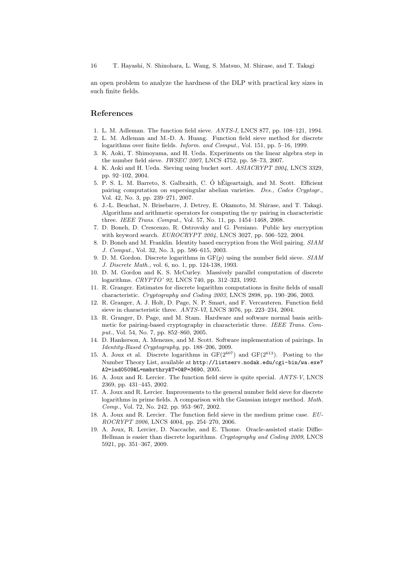an open problem to analyze the hardness of the DLP with practical key sizes in such finite fields.

# **References**

- 1. L. M. Adleman. The function field sieve. *ANTS-I*, LNCS 877, pp. 108–121, 1994.
- 2. L. M. Adleman and M.-D. A. Huang. Function field sieve method for discrete logarithms over finite fields. *Inform. and Comput.*, Vol. 151, pp. 5–16, 1999.
- 3. K. Aoki, T. Shimoyama, and H. Ueda. Experiments on the linear algebra step in the number field sieve. *IWSEC 2007*, LNCS 4752, pp. 58–73, 2007.
- 4. K. Aoki and H. Ueda. Sieving using bucket sort. *ASIACRYPT 2004*, LNCS 3329, pp. 92–102, 2004.
- 5. P. S. L. M. Barreto, S. Galbraith, C. Ó hÉigeartaigh, and M. Scott. Efficient pairing computation on supersingular abelian varieties. *Des., Codes Cryptogr.*, Vol. 42, No. 3, pp. 239–271, 2007.
- 6. J.-L. Beuchat, N. Brisebarre, J. Detrey, E. Okamoto, M. Shirase, and T. Takagi. Algorithms and arithmetic operators for computing the  $\eta_T$  pairing in characteristic three. *IEEE Trans. Comput.*, Vol. 57, No. 11, pp. 1454–1468, 2008.
- 7. D. Boneh, D. Crescenzo, R. Ostrovsky and G. Persiano. Public key encryption with keyword search. *EUROCRYPT 2004*, LNCS 3027, pp. 506–522, 2004.
- 8. D. Boneh and M. Franklin. Identity based encryption from the Weil pairing. *SIAM J. Comput.*, Vol. 32, No. 3, pp. 586–615, 2003.
- 9. D. M. Gordon. Discrete logarithms in GF(*p*) using the number field sieve. *SIAM J. Discrete Math.*, vol. 6, no. 1, pp. 124-138, 1993.
- 10. D. M. Gordon and K. S. McCurley. Massively parallel computation of discrete logarithms. *CRYPTO' 92*, LNCS 740, pp. 312–323, 1992.
- 11. R. Granger. Estimates for discrete logarithm computations in finite fields of small characteristic. *Cryptography and Coding 2003*, LNCS 2898, pp. 190–206, 2003.
- 12. R. Granger, A. J. Holt, D. Page, N. P. Smart, and F. Vercauteren. Function field sieve in characteristic three. *ANTS-VI*, LNCS 3076, pp. 223–234, 2004.
- 13. R. Granger, D. Page, and M. Stam. Hardware and software normal basis arithmetic for pairing-based cryptography in characteristic three. *IEEE Trans. Comput.*, Vol. 54, No. 7, pp. 852–860, 2005.
- 14. D. Hankerson, A. Menezes, and M. Scott. Software implementation of pairings. In *Identity-Based Cryptography*, pp. 188–206, 2009.
- 15. A. Joux et al. Discrete logarithms in  $GF(2^{607})$  and  $GF(2^{613})$ . Posting to the Number Theory List, available at http://listserv.nodak.edu/cgi-bin/wa.exe? A2=ind0509&L=nmbrthry&T=0&P=3690, 2005.
- 16. A. Joux and R. Lercier. The function field sieve is quite special. *ANTS-V*, LNCS 2369, pp. 431–445, 2002.
- 17. A. Joux and R. Lercier. Improvements to the general number field sieve for discrete logarithms in prime fields. A comparison with the Gaussian integer method. *Math. Comp.*, Vol. 72, No. 242, pp. 953–967, 2002.
- 18. A. Joux and R. Lercier. The function field sieve in the medium prime case. *EU-ROCRYPT 2006*, LNCS 4004, pp. 254–270, 2006.
- 19. A. Joux, R. Lercier, D. Naccache, and E. Thome. Oracle-assisted static Diffie-Hellman is easier than discrete logarithms. *Cryptography and Coding 2009*, LNCS 5921, pp. 351–367, 2009.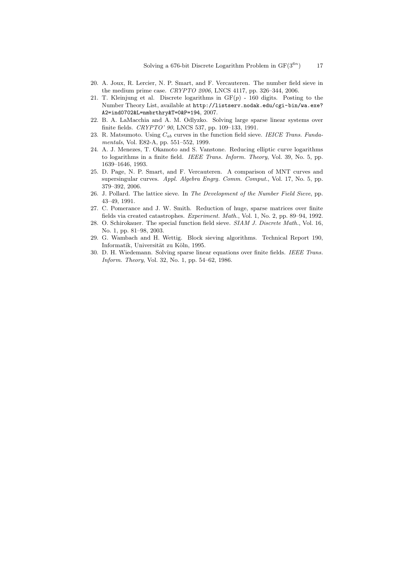- 20. A. Joux, R. Lercier, N. P. Smart, and F. Vercauteren. The number field sieve in the medium prime case. *CRYPTO 2006*, LNCS 4117, pp. 326–344, 2006.
- 21. T. Kleinjung et al. Discrete logarithms in  $GF(p)$  160 digits. Posting to the Number Theory List, available at http://listserv.nodak.edu/cgi-bin/wa.exe? A2=ind0702&L=nmbrthry&T=0&P=194, 2007.
- 22. B. A. LaMacchia and A. M. Odlyzko. Solving large sparse linear systems over finite fields. *CRYPTO' 90*, LNCS 537, pp. 109–133, 1991.
- 23. R. Matsumoto. Using *Cab* curves in the function field sieve. *IEICE Trans. Fundamentals*, Vol. E82-A, pp. 551–552, 1999.
- 24. A. J. Menezes, T. Okamoto and S. Vanstone. Reducing elliptic curve logarithms to logarithms in a finite field. *IEEE Trans. Inform. Theory*, Vol. 39, No. 5, pp. 1639–1646, 1993.
- 25. D. Page, N. P. Smart, and F. Vercauteren. A comparison of MNT curves and supersingular curves. *Appl. Algebra Engrg. Comm. Comput.*, Vol. 17, No. 5, pp. 379–392, 2006.
- 26. J. Pollard. The lattice sieve. In *The Development of the Number Field Sieve*, pp. 43–49, 1991.
- 27. C. Pomerance and J. W. Smith. Reduction of huge, sparse matrices over finite fields via created catastrophes. *Experiment. Math.*, Vol. 1, No. 2, pp. 89–94, 1992.
- 28. O. Schirokauer. The special function field sieve. *SIAM J. Discrete Math.*, Vol. 16, No. 1, pp. 81–98, 2003.
- 29. G. Wambach and H. Wettig. Block sieving algorithms. Technical Report 190, Informatik, Universität zu Köln, 1995.
- 30. D. H. Wiedemann. Solving sparse linear equations over finite fields. *IEEE Trans. Inform. Theory*, Vol. 32, No. 1, pp. 54–62, 1986.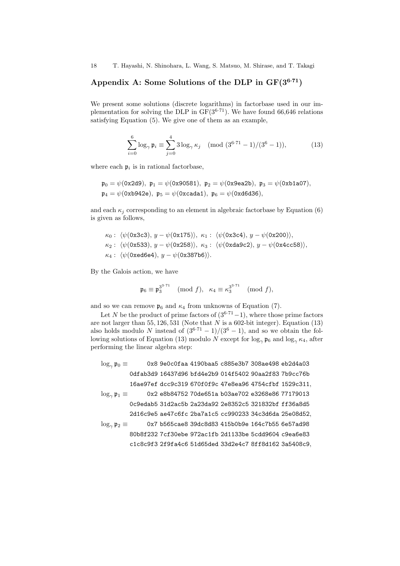18 T. Hayashi, N. Shinohara, L. Wang, S. Matsuo, M. Shirase, and T. Takagi

# **Appendix A: Some Solutions of the DLP in GF(3<sup>6</sup>**·**<sup>71</sup>)**

We present some solutions (discrete logarithms) in factorbase used in our implementation for solving the DLP in GF(3<sup>6</sup>*·*<sup>71</sup>). We have found 66,646 relations satisfying Equation (5). We give one of them as an example,

$$
\sum_{i=0}^{6} \log_{\gamma} \mathfrak{p}_i \equiv \sum_{j=0}^{4} 3 \log_{\gamma} \kappa_j \pmod{(3^{6\cdot 71} - 1)/(3^6 - 1)},\tag{13}
$$

where each  $p_i$  is in rational factorbase,

$$
\mathfrak{p}_0 = \psi(0x2d9), \ \mathfrak{p}_1 = \psi(0x90581), \ \mathfrak{p}_2 = \psi(0x9ea2b), \ \mathfrak{p}_3 = \psi(0xb1a07),
$$
  

$$
\mathfrak{p}_4 = \psi(0xb942e), \ \mathfrak{p}_5 = \psi(0xcada1), \ \mathfrak{p}_6 = \psi(0xd6d36),
$$

and each  $\kappa_i$  corresponding to an element in algebraic factorbase by Equation (6) is given as follows,

$$
\kappa_0: \langle \psi(\text{0x3c3}), y - \psi(\text{0x175}) \rangle, \ \kappa_1: \langle \psi(\text{0x3c4}), y - \psi(\text{0x200}) \rangle,
$$
\n
$$
\kappa_2: \langle \psi(\text{0x533}), y - \psi(\text{0x258}) \rangle, \ \kappa_3: \langle \psi(\text{0xda9c2}), y - \psi(\text{0x4cc58}) \rangle,
$$
\n
$$
\kappa_4: \langle \psi(\text{0xed6e4}), y - \psi(\text{0x387b6}) \rangle.
$$

By the Galois action, we have

$$
\mathfrak{p}_6 \equiv \mathfrak{p}_3^{3^{3 \cdot 71}} \pmod{f}, \quad \kappa_4 \equiv \kappa_3^{3^{3 \cdot 71}} \pmod{f},
$$

and so we can remove  $\mathfrak{p}_6$  and  $\kappa_4$  from unknowns of Equation (7).

Let *N* be the product of prime factors of  $(3^{6.71}-1)$ , where those prime factors are not larger than 55, 126, 531 (Note that  $N$  is a 602-bit integer). Equation (13) also holds modulo *N* instead of  $(3^{6.71} – 1)/(3^{6} – 1)$ , and so we obtain the following solutions of Equation (13) modulo *N* except for  $\log_{\gamma} \mathfrak{p}_6$  and  $\log_{\gamma} \kappa_4$ , after performing the linear algebra step:

$$
\log_{\gamma} \mathfrak{p}_0 \equiv \qquad \qquad \text{0x8 9e0c0faa 4190baa5 c885e3b7 308ae498 eb2d4a03} \\ \qquad \qquad \text{0dfab3d9 16437d96 bfd4e2b9 014f5402 90aa2f83 7b9cc76b} \\ \qquad \qquad \text{16ae97ef dcc9c319 670f0f9c 47e8ea96 4754cfbf 1529c311,} \\ \qquad \qquad \qquad \text{0x2 e8b84752 70de651a b03ae702 e3268e86 77179013} \\ \qquad \qquad \qquad \text{0c9edab5 31d2ac5b 2a23da92 2e8352c5 321832bf f f136a8d5} \\ \qquad \qquad \text{2d16c9e5 ae47c6fc 2ba7a1c5 cc990233 34c3d6da 25e08d52,} \\ \qquad \qquad \qquad \text{0g}_{\gamma} \mathfrak{p}_2 \equiv \qquad \qquad \qquad \text{0x7 b565cae8 39dc8d83 415b0b9e 164c7b55 6e57ad98} \\ \qquad \qquad \text{80b8f232 7cf30ebe 972ac1fb 2d1133be 5cdd9604 c9ea6e83} \\ \qquad \qquad \qquad \text{c1c8c9f3 2f9f4d66 51d65ded 33d2e4c7 8ff8d162 3a5408c9,}
$$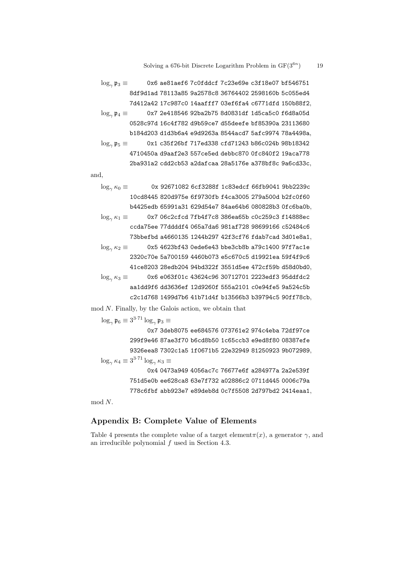#### Solving a 676-bit Discrete Logarithm Problem in  $GF(3^{6n})$ ) 19

$$
\log_{\gamma}\mathfrak{p}_3\equiv\qquad \quad \text{0x6 ae81aef6 7c0fddc1 7c23e69e c3f18e07 bf546751}\\ 8df9d1ad 78113a85 9a2578c8 36764402 2598160b 5c055ed4\\ 7d412a42 17c987c0 14aaff17 03ef6fad c6771dfd 150b88f2,\\ \log_{\gamma}\mathfrak{p}_4\equiv\qquad \quad \text{0x7 2e418546 92ba2b75 8d0831df 1d5ca5c0 f6d8a05d\\ 0528c97d 16c4f782 d9b59ce7 d55deefe bf85390a 23113680\\ \text{b184d203 d1d3b6a4 e9d9263a 8544acd7 5afc9974 78a4498a,\\ \log_{\gamma}\mathfrak{p}_5\equiv\qquad \quad \text{0x1 c35f26bf 717ed338 cfd71243 b86c024b 98b18342\\ 4710450a d9aaf2e3 557ce5ed debbc870 0fc840f2 19aca778\\ 2ba931a2 cdd2c b53 a2dafcaa 28a5176e a378bfgc 9a6c d33c,
$$

and,

log<sub>γ</sub>  $κ_0$  ≡ 0x 92671082 6cf3288f 1c83edcf 66fb9041 9bb2239c 10cd8445 820d975e 6f9730fb f4ca3005 279a500d b2fc0f60 b4425edb 65991a31 629d54e7 84ae64b6 080828b3 0fc6ba0b*,* log*<sup>γ</sup> κ*<sup>1</sup> *≡* 0x7 06c2cfcd 7fb4f7c8 386ea65b c0c259c3 f14888ec ccda75ee 77ddddf4 065a7da6 981af728 98699166 c52484c6 73bbefbd a4660135 1244b297 42f3cf76 fdab7cad 3d01e8a1*,* log*<sup>γ</sup> κ*<sup>2</sup> *≡* 0x5 4623bf43 0ede6e43 bbe3cb8b a79c1400 97f7ac1e 2320c70e 5a700159 4460b073 e5c670c5 d19921ea 59f4f9c6 41ce8203 28edb204 94bd322f 3551d5ee 472cf59b d58d0bd0*,* log<sub>γ</sub>  $\kappa_3$  **≡** 0x6 e063f01c 43624c96 30712701 2223edf3 95ddfdc2 aa1dd9f6 dd3636ef 12d9260f 555a2101 c0e94fe5 9a524c5b c2c1d768 1499d7b6 41b71d4f b13566b3 b39794c5 90ff78cb*,*

mod *N*. Finally, by the Galois action, we obtain that

$$
\log_{\gamma} \mathfrak{p}_6 \equiv 3^{3.71} \log_{\gamma} \mathfrak{p}_3 \equiv
$$

0x7 3deb8075 ee684576 073761e2 974c4eba 72df97ce 299f9e46 87ae3f70 b6cd8b50 1c65ccb3 e9ed8f80 08387efe 9326eea8 7302c1a5 1f0671b5 22e32949 81250923 9b072989*,*  $\log_{\gamma} \kappa_4 \equiv 3^{3 \cdot 71} \log_{\gamma} \kappa_3 \equiv$ 0x4 0473a949 4056ac7c 76677e6f a284977a 2a2e539f 751d5e0b ee628ca8 63e7f732 a02886c2 0711d445 0006c79a 778c6fbf abb923e7 e89deb8d 0c7f5508 2d797bd2 2414eaa1*,*

mod *N*.

## **Appendix B: Complete Value of Elements**

Table 4 presents the complete value of a target element $\pi(x)$ , a generator  $\gamma$ , and an irreducible polynomial *f* used in Section 4.3.